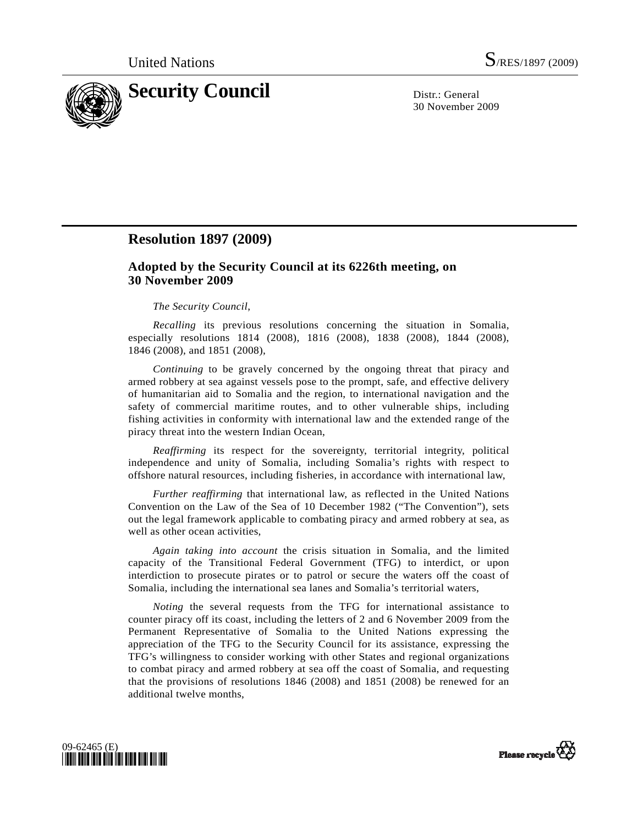

30 November 2009

## **Resolution 1897 (2009)**

## **Adopted by the Security Council at its 6226th meeting, on 30 November 2009**

## *The Security Council*,

*Recalling* its previous resolutions concerning the situation in Somalia, especially resolutions 1814 (2008), 1816 (2008), 1838 (2008), 1844 (2008), 1846 (2008), and 1851 (2008),

*Continuing* to be gravely concerned by the ongoing threat that piracy and armed robbery at sea against vessels pose to the prompt, safe, and effective delivery of humanitarian aid to Somalia and the region, to international navigation and the safety of commercial maritime routes, and to other vulnerable ships, including fishing activities in conformity with international law and the extended range of the piracy threat into the western Indian Ocean,

*Reaffirming* its respect for the sovereignty, territorial integrity, political independence and unity of Somalia, including Somalia's rights with respect to offshore natural resources, including fisheries, in accordance with international law,

*Further reaffirming* that international law, as reflected in the United Nations Convention on the Law of the Sea of 10 December 1982 ("The Convention"), sets out the legal framework applicable to combating piracy and armed robbery at sea, as well as other ocean activities,

*Again taking into account* the crisis situation in Somalia, and the limited capacity of the Transitional Federal Government (TFG) to interdict, or upon interdiction to prosecute pirates or to patrol or secure the waters off the coast of Somalia, including the international sea lanes and Somalia's territorial waters,

*Noting* the several requests from the TFG for international assistance to counter piracy off its coast, including the letters of 2 and 6 November 2009 from the Permanent Representative of Somalia to the United Nations expressing the appreciation of the TFG to the Security Council for its assistance, expressing the TFG's willingness to consider working with other States and regional organizations to combat piracy and armed robbery at sea off the coast of Somalia, and requesting that the provisions of resolutions 1846 (2008) and 1851 (2008) be renewed for an additional twelve months,



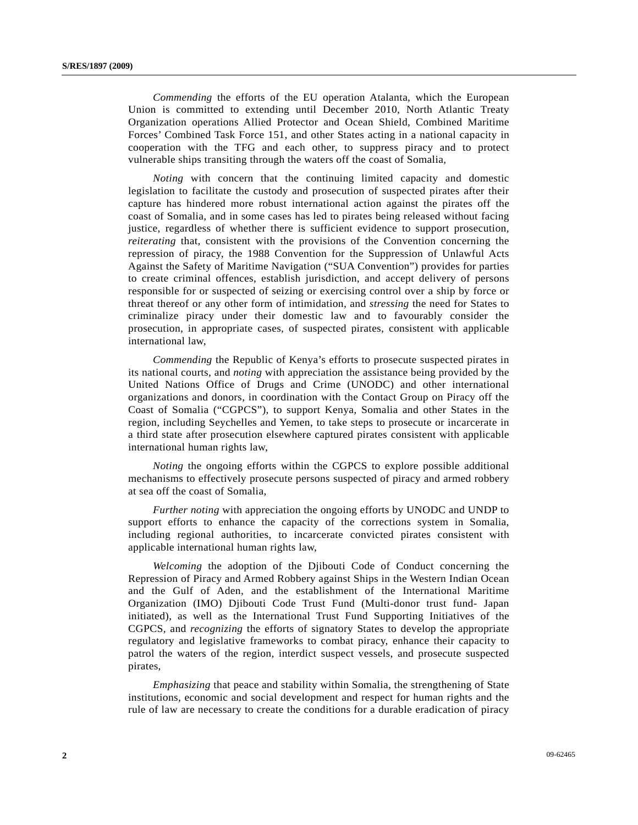*Commending* the efforts of the EU operation Atalanta, which the European Union is committed to extending until December 2010, North Atlantic Treaty Organization operations Allied Protector and Ocean Shield, Combined Maritime Forces' Combined Task Force 151, and other States acting in a national capacity in cooperation with the TFG and each other, to suppress piracy and to protect vulnerable ships transiting through the waters off the coast of Somalia,

*Noting* with concern that the continuing limited capacity and domestic legislation to facilitate the custody and prosecution of suspected pirates after their capture has hindered more robust international action against the pirates off the coast of Somalia, and in some cases has led to pirates being released without facing justice, regardless of whether there is sufficient evidence to support prosecution, *reiterating* that, consistent with the provisions of the Convention concerning the repression of piracy, the 1988 Convention for the Suppression of Unlawful Acts Against the Safety of Maritime Navigation ("SUA Convention") provides for parties to create criminal offences, establish jurisdiction, and accept delivery of persons responsible for or suspected of seizing or exercising control over a ship by force or threat thereof or any other form of intimidation, and *stressing* the need for States to criminalize piracy under their domestic law and to favourably consider the prosecution, in appropriate cases, of suspected pirates, consistent with applicable international law,

*Commending* the Republic of Kenya's efforts to prosecute suspected pirates in its national courts, and *noting* with appreciation the assistance being provided by the United Nations Office of Drugs and Crime (UNODC) and other international organizations and donors, in coordination with the Contact Group on Piracy off the Coast of Somalia ("CGPCS"), to support Kenya, Somalia and other States in the region, including Seychelles and Yemen, to take steps to prosecute or incarcerate in a third state after prosecution elsewhere captured pirates consistent with applicable international human rights law,

*Noting* the ongoing efforts within the CGPCS to explore possible additional mechanisms to effectively prosecute persons suspected of piracy and armed robbery at sea off the coast of Somalia,

*Further noting* with appreciation the ongoing efforts by UNODC and UNDP to support efforts to enhance the capacity of the corrections system in Somalia, including regional authorities, to incarcerate convicted pirates consistent with applicable international human rights law,

*Welcoming* the adoption of the Djibouti Code of Conduct concerning the Repression of Piracy and Armed Robbery against Ships in the Western Indian Ocean and the Gulf of Aden, and the establishment of the International Maritime Organization (IMO) Djibouti Code Trust Fund (Multi-donor trust fund- Japan initiated), as well as the International Trust Fund Supporting Initiatives of the CGPCS, and *recognizing* the efforts of signatory States to develop the appropriate regulatory and legislative frameworks to combat piracy, enhance their capacity to patrol the waters of the region, interdict suspect vessels, and prosecute suspected pirates,

*Emphasizing* that peace and stability within Somalia, the strengthening of State institutions, economic and social development and respect for human rights and the rule of law are necessary to create the conditions for a durable eradication of piracy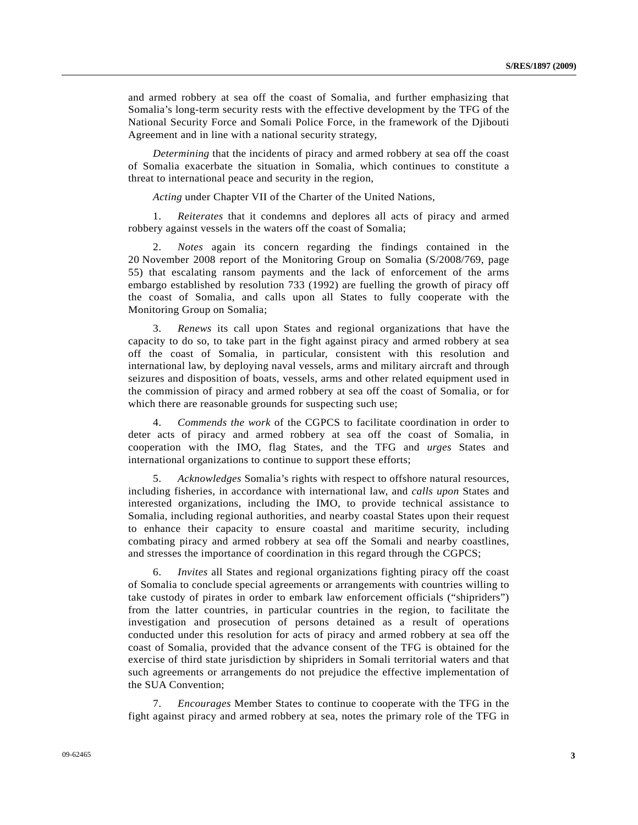and armed robbery at sea off the coast of Somalia, and further emphasizing that Somalia's long-term security rests with the effective development by the TFG of the National Security Force and Somali Police Force, in the framework of the Djibouti Agreement and in line with a national security strategy,

*Determining* that the incidents of piracy and armed robbery at sea off the coast of Somalia exacerbate the situation in Somalia, which continues to constitute a threat to international peace and security in the region,

*Acting* under Chapter VII of the Charter of the United Nations,

 1. *Reiterates* that it condemns and deplores all acts of piracy and armed robbery against vessels in the waters off the coast of Somalia;

 2. *Notes* again its concern regarding the findings contained in the 20 November 2008 report of the Monitoring Group on Somalia (S/2008/769, page 55) that escalating ransom payments and the lack of enforcement of the arms embargo established by resolution 733 (1992) are fuelling the growth of piracy off the coast of Somalia, and calls upon all States to fully cooperate with the Monitoring Group on Somalia;

 3. *Renews* its call upon States and regional organizations that have the capacity to do so, to take part in the fight against piracy and armed robbery at sea off the coast of Somalia, in particular, consistent with this resolution and international law, by deploying naval vessels, arms and military aircraft and through seizures and disposition of boats, vessels, arms and other related equipment used in the commission of piracy and armed robbery at sea off the coast of Somalia, or for which there are reasonable grounds for suspecting such use;

 4. *Commends the work* of the CGPCS to facilitate coordination in order to deter acts of piracy and armed robbery at sea off the coast of Somalia, in cooperation with the IMO, flag States, and the TFG and *urges* States and international organizations to continue to support these efforts;

 5. *Acknowledges* Somalia's rights with respect to offshore natural resources, including fisheries, in accordance with international law, and *calls upon* States and interested organizations, including the IMO, to provide technical assistance to Somalia, including regional authorities, and nearby coastal States upon their request to enhance their capacity to ensure coastal and maritime security, including combating piracy and armed robbery at sea off the Somali and nearby coastlines, and stresses the importance of coordination in this regard through the CGPCS;

 6. *Invites* all States and regional organizations fighting piracy off the coast of Somalia to conclude special agreements or arrangements with countries willing to take custody of pirates in order to embark law enforcement officials ("shipriders") from the latter countries, in particular countries in the region, to facilitate the investigation and prosecution of persons detained as a result of operations conducted under this resolution for acts of piracy and armed robbery at sea off the coast of Somalia, provided that the advance consent of the TFG is obtained for the exercise of third state jurisdiction by shipriders in Somali territorial waters and that such agreements or arrangements do not prejudice the effective implementation of the SUA Convention;

 7. *Encourages* Member States to continue to cooperate with the TFG in the fight against piracy and armed robbery at sea, notes the primary role of the TFG in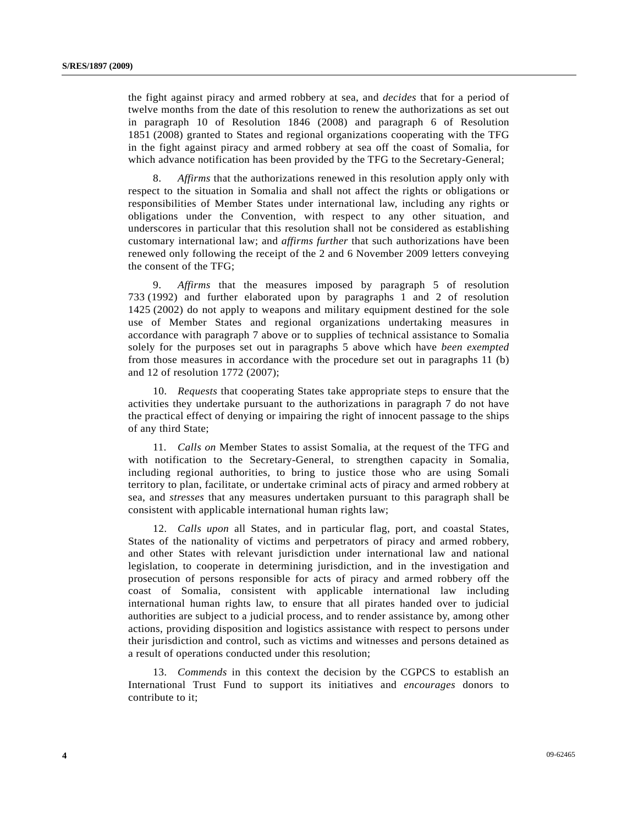the fight against piracy and armed robbery at sea, and *decides* that for a period of twelve months from the date of this resolution to renew the authorizations as set out in paragraph 10 of Resolution 1846 (2008) and paragraph 6 of Resolution 1851 (2008) granted to States and regional organizations cooperating with the TFG in the fight against piracy and armed robbery at sea off the coast of Somalia, for which advance notification has been provided by the TFG to the Secretary-General;

 8. *Affirms* that the authorizations renewed in this resolution apply only with respect to the situation in Somalia and shall not affect the rights or obligations or responsibilities of Member States under international law, including any rights or obligations under the Convention, with respect to any other situation, and underscores in particular that this resolution shall not be considered as establishing customary international law; and *affirms further* that such authorizations have been renewed only following the receipt of the 2 and 6 November 2009 letters conveying the consent of the TFG;

 9. *Affirms* that the measures imposed by paragraph 5 of resolution 733 (1992) and further elaborated upon by paragraphs 1 and 2 of resolution 1425 (2002) do not apply to weapons and military equipment destined for the sole use of Member States and regional organizations undertaking measures in accordance with paragraph 7 above or to supplies of technical assistance to Somalia solely for the purposes set out in paragraphs 5 above which have *been exempted* from those measures in accordance with the procedure set out in paragraphs 11 (b) and 12 of resolution 1772 (2007);

 10. *Requests* that cooperating States take appropriate steps to ensure that the activities they undertake pursuant to the authorizations in paragraph 7 do not have the practical effect of denying or impairing the right of innocent passage to the ships of any third State;

 11. *Calls on* Member States to assist Somalia, at the request of the TFG and with notification to the Secretary-General, to strengthen capacity in Somalia, including regional authorities, to bring to justice those who are using Somali territory to plan, facilitate, or undertake criminal acts of piracy and armed robbery at sea, and *stresses* that any measures undertaken pursuant to this paragraph shall be consistent with applicable international human rights law;

 12. *Calls upon* all States, and in particular flag, port, and coastal States, States of the nationality of victims and perpetrators of piracy and armed robbery, and other States with relevant jurisdiction under international law and national legislation, to cooperate in determining jurisdiction, and in the investigation and prosecution of persons responsible for acts of piracy and armed robbery off the coast of Somalia, consistent with applicable international law including international human rights law, to ensure that all pirates handed over to judicial authorities are subject to a judicial process, and to render assistance by, among other actions, providing disposition and logistics assistance with respect to persons under their jurisdiction and control, such as victims and witnesses and persons detained as a result of operations conducted under this resolution;

 13. *Commends* in this context the decision by the CGPCS to establish an International Trust Fund to support its initiatives and *encourages* donors to contribute to it;